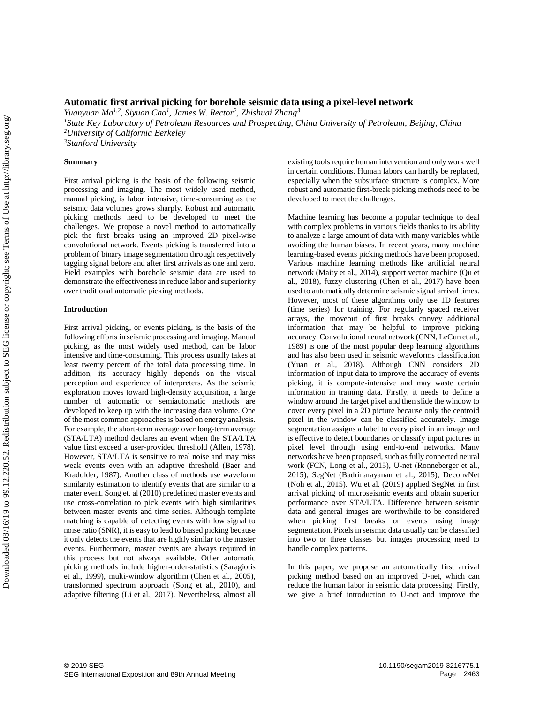# **Automatic first arrival picking for borehole seismic data using a pixel-level network**

*Yuanyuan Ma1,2 , Siyuan Cao<sup>1</sup> , James W. Rector<sup>2</sup> , Zhishuai Zhang<sup>3</sup>*

*<sup>1</sup>State Key Laboratory of Petroleum Resources and Prospecting, China University of Petroleum, Beijing, China <sup>2</sup>University of California Berkeley*

*<sup>3</sup>Stanford University*

## **Summary**

First arrival picking is the basis of the following seismic processing and imaging. The most widely used method, manual picking, is labor intensive, time-consuming as the seismic data volumes grows sharply. Robust and automatic picking methods need to be developed to meet the challenges. We propose a novel method to automatically pick the first breaks using an improved 2D pixel-wise convolutional network. Events picking is transferred into a problem of binary image segmentation through respectively tagging signal before and after first arrivals as one and zero. Field examples with borehole seismic data are used to demonstrate the effectiveness in reduce labor and superiority over traditional automatic picking methods.

### **Introduction**

First arrival picking, or events picking, is the basis of the following efforts in seismic processing and imaging. Manual picking, as the most widely used method, can be labor intensive and time-consuming. This process usually takes at least twenty percent of the total data processing time. In addition, its accuracy highly depends on the visual perception and experience of interpreters. As the seismic exploration moves toward high-density acquisition, a large number of automatic or semiautomatic methods are developed to keep up with the increasing data volume. One of the most common approaches is based on energy analysis. For example, the short-term average over long-term average (STA/LTA) method declares an event when the STA/LTA value first exceed a user-provided threshold (Allen, 1978). However, STA/LTA is sensitive to real noise and may miss weak events even with an adaptive threshold (Baer and Kradolder, 1987). Another class of methods use waveform similarity estimation to identify events that are similar to a mater event. Song et. al (2010) predefined master events and use cross-correlation to pick events with high similarities between master events and time series. Although template matching is capable of detecting events with low signal to noise ratio (SNR), it is easy to lead to biased picking because it only detects the events that are highly similar to the master events. Furthermore, master events are always required in this process but not always available. Other automatic picking methods include higher-order-statistics (Saragiotis et al., 1999), multi-window algorithm (Chen et al., 2005), transformed spectrum approach (Song et al., 2010), and adaptive filtering (Li et al., 2017). Nevertheless, almost all SEG IS CONSULTATIVE CONSULTATIVE COMPARY COMPORATION ASSOCIATION COMPORATION SURVEYSITY SURVEYSITY COMPORATION (Distribution Sectional Meeting Download price). Survey the subset of the following product of the subject to

existing tools require human intervention and only work well in certain conditions. Human labors can hardly be replaced, especially when the subsurface structure is complex. More robust and automatic first-break picking methods need to be developed to meet the challenges.

Machine learning has become a popular technique to deal with complex problems in various fields thanks to its ability to analyze a large amount of data with many variables while avoiding the human biases. In recent years, many machine learning-based events picking methods have been proposed. Various machine learning methods like artificial neural network (Maity et al., 2014), support vector machine (Qu et al., 2018), fuzzy clustering (Chen et al., 2017) have been used to automatically determine seismic signal arrival times. However, most of these algorithms only use 1D features (time series) for training. For regularly spaced receiver arrays, the moveout of first breaks convey additional information that may be helpful to improve picking accuracy. Convolutional neural network (CNN, LeCun et al., 1989) is one of the most popular deep learning algorithms and has also been used in seismic waveforms classification (Yuan et al., 2018). Although CNN considers 2D information of input data to improve the accuracy of events picking, it is compute-intensive and may waste certain information in training data. Firstly, it needs to define a window around the target pixel and then slide the window to cover every pixel in a 2D picture because only the centroid pixel in the window can be classified accurately. Image segmentation assigns a label to every pixel in an image and is effective to detect boundaries or classify input pictures in pixel level through using end-to-end networks. Many networks have been proposed, such as fully connected neural work (FCN, Long et al., 2015), U-net (Ronneberger et al., 2015), SegNet (Badrinarayanan et al., 2015), DeconvNet (Noh et al., 2015). Wu et al. (2019) applied SegNet in first arrival picking of microseismic events and obtain superior performance over STA/LTA. Difference between seismic data and general images are worthwhile to be considered when picking first breaks or events using image segmentation. Pixels in seismic data usually can be classified into two or three classes but images processing need to handle complex patterns.

In this paper, we propose an automatically first arrival picking method based on an improved U-net, which can reduce the human labor in seismic data processing. Firstly, we give a brief introduction to U-net and improve the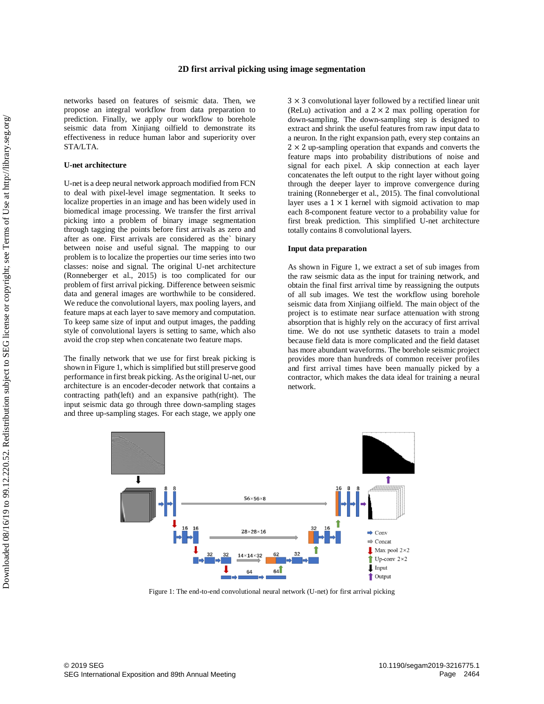networks based on features of seismic data. Then, we propose an integral workflow from data preparation to prediction. Finally, we apply our workflow to borehole seismic data from Xinjiang oilfield to demonstrate its effectiveness in reduce human labor and superiority over STA/LTA.

## **U-net architecture**

U-net is a deep neural network approach modified from FCN to deal with pixel-level image segmentation. It seeks to localize properties in an image and has been widely used in biomedical image processing. We transfer the first arrival picking into a problem of binary image segmentation through tagging the points before first arrivals as zero and after as one. First arrivals are considered as the` binary between noise and useful signal. The mapping to our problem is to localize the properties our time series into two classes: noise and signal. The original U-net architecture (Ronneberger et al., 2015) is too complicated for our problem of first arrival picking. Difference between seismic data and general images are worthwhile to be considered. We reduce the convolutional layers, max pooling layers, and feature maps at each layer to save memory and computation. To keep same size of input and output images, the padding style of convolutional layers is setting to same, which also avoid the crop step when concatenate two feature maps. SEG ISO INTERNATION EXPOSURED TRANSPACE TO THE CHANNEL AND THE CHANNEL CONSULTED USE THE CHANNEL TO the distribution of the state of the state of the state of the state of the state of the state of the state of the state

The finally network that we use for first break picking is shown in Figure 1, which is simplified but still preserve good performance in first break picking. As the original U-net, our architecture is an encoder-decoder network that contains a contracting path(left) and an expansive path(right). The input seismic data go through three down-sampling stages and three up-sampling stages. For each stage, we apply one

 $3 \times 3$  convolutional layer followed by a rectified linear unit (ReLu) activation and a  $2 \times 2$  max polling operation for down-sampling. The down-sampling step is designed to extract and shrink the useful features from raw input data to a neuron. In the right expansion path, every step contains an  $2 \times 2$  up-sampling operation that expands and converts the feature maps into probability distributions of noise and signal for each pixel. A skip connection at each layer concatenates the left output to the right layer without going through the deeper layer to improve convergence during training (Ronneberger et al., 2015). The final convolutional layer uses a  $1 \times 1$  kernel with sigmoid activation to map each 8-component feature vector to a probability value for first break prediction. This simplified U-net architecture totally contains 8 convolutional layers.

# **Input data preparation**

As shown in Figure 1, we extract a set of sub images from the raw seismic data as the input for training network, and obtain the final first arrival time by reassigning the outputs of all sub images. We test the workflow using borehole seismic data from Xinjiang oilfield. The main object of the project is to estimate near surface attenuation with strong absorption that is highly rely on the accuracy of first arrival time. We do not use synthetic datasets to train a model because field data is more complicated and the field dataset has more abundant waveforms. The borehole seismic project provides more than hundreds of common receiver profiles and first arrival times have been manually picked by a contractor, which makes the data ideal for training a neural network.



Figure 1: The end-to-end convolutional neural network (U-net) for first arrival picking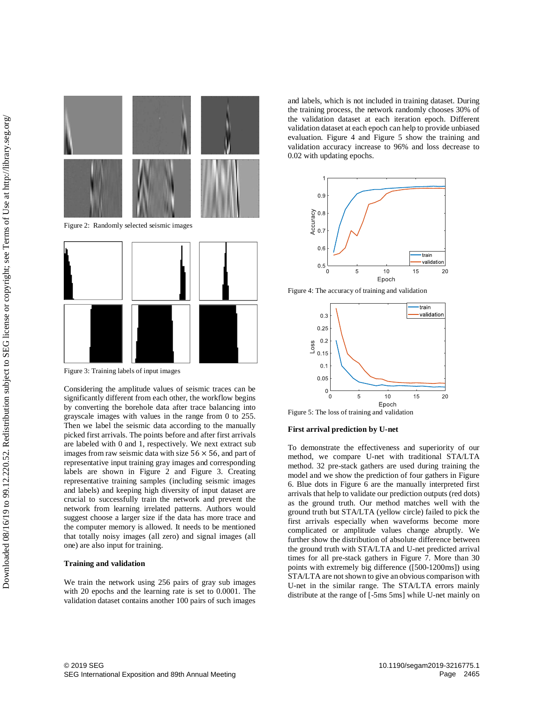

Figure 3: Training labels of input images

Considering the amplitude values of seismic traces can be significantly different from each other, the workflow begins by converting the borehole data after trace balancing into grayscale images with values in the range from 0 to 255. Then we label the seismic data according to the manually picked first arrivals. The points before and after first arrivals are labeled with 0 and 1, respectively. We next extract sub images from raw seismic data with size  $56 \times 56$ , and part of representative input training gray images and corresponding labels are shown in Figure 2 and Figure 3. Creating representative training samples (including seismic images and labels) and keeping high diversity of input dataset are crucial to successfully train the network and prevent the network from learning irrelated patterns. Authors would suggest choose a larger size if the data has more trace and the computer memory is allowed. It needs to be mentioned that totally noisy images (all zero) and signal images (all one) are also input for training.

#### **Training and validation**

We train the network using 256 pairs of gray sub images with 20 epochs and the learning rate is set to 0.0001. The validation dataset contains another 100 pairs of such images

and labels, which is not included in training dataset. During the training process, the network randomly chooses 30% of the validation dataset at each iteration epoch. Different validation dataset at each epoch can help to provide unbiased evaluation. Figure 4 and Figure 5 show the training and validation accuracy increase to 96% and loss decrease to 0.02 with updating epochs.



Figure 4: The accuracy of training and validation



Figure 5: The loss of training and validation

# **First arrival prediction by U-net**

To demonstrate the effectiveness and superiority of our method, we compare U-net with traditional STA/LTA method. 32 pre-stack gathers are used during training the model and we show the prediction of four gathers in Figure 6. Blue dots in Figure 6 are the manually interpreted first arrivals that help to validate our prediction outputs (red dots) as the ground truth. Our method matches well with the ground truth but STA/LTA (yellow circle) failed to pick the first arrivals especially when waveforms become more complicated or amplitude values change abruptly. We further show the distribution of absolute difference between the ground truth with STA/LTA and U-net predicted arrival times for all pre-stack gathers in Figure 7. More than 30 points with extremely big difference ([500-1200ms]) using STA/LTA are not shown to give an obvious comparison with U-net in the similar range. The STA/LTA errors mainly distribute at the range of [-5ms 5ms] while U-net mainly on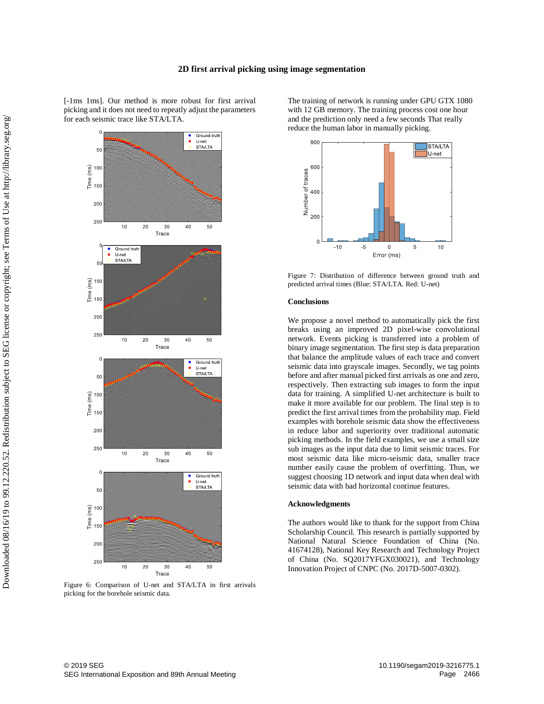[-1ms 1ms]. Our method is more robust for first arrival picking and it does not need to repeatly adjust the parameters for each seismic trace like STA/LTA.



Figure 6: Comparison of U-net and STA/LTA in first arrivals picking for the borehole seismic data.

The training of network is running under GPU GTX 1080 with 12 GB memory. The training process cost one hour and the prediction only need a few seconds That really reduce the human labor in manually picking.



Figure 7: Distribution of difference between ground truth and predicted arrival times (Blue: STA/LTA. Red: U-net)

### **Conclusions**

We propose a novel method to automatically pick the first breaks using an improved 2D pixel-wise convolutional network. Events picking is transferred into a problem of binary image segmentation. The first step is data preparation that balance the amplitude values of each trace and convert seismic data into grayscale images. Secondly, we tag points before and after manual picked first arrivals as one and zero, respectively. Then extracting sub images to form the input data for training. A simplified U-net architecture is built to make it more available for our problem. The final step is to predict the first arrival times from the probability map. Field examples with borehole seismic data show the effectiveness in reduce labor and superiority over traditional automatic picking methods. In the field examples, we use a small size sub images as the input data due to limit seismic traces. For most seismic data like micro-seismic data, smaller trace number easily cause the problem of overfitting. Thus, we suggest choosing 1D network and input data when deal with seismic data with bad horizontal continue features.

#### **Acknowledgments**

The authors would like to thank for the support from China Scholarship Council. This research is partially supported by National Natural Science Foundation of China (No. 41674128), National Key Research and Technology Project of China (No. SQ2017YFGX030021), and Technology Innovation Project of CNPC (No. 2017D-5007-0302).